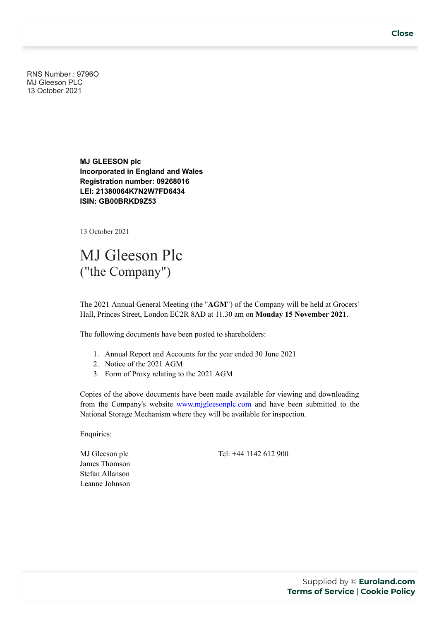RNS Number : 9796O MJ Gleeson PLC 13 October 2021

> **MJ GLEESON plc Incorporated in England and Wales Registration number: 09268016 LEI: 21380064K7N2W7FD6434 ISIN: GB00BRKD9Z53**

13 October 2021

## MJ Gleeson Plc ("the Company")

The 2021 Annual General Meeting (the "**AGM**") of the Company will be held at Grocers' Hall, Princes Street, London EC2R 8AD at 11.30 am on **Monday 15 November 2021**.

The following documents have been posted to shareholders:

- 1. Annual Report and Accounts for the year ended 30 June 2021
- 2. Notice of the 2021 AGM
- 3. Form of Proxy relating to the 2021 AGM

Copies of the above documents have been made available for viewing and downloading from the Company's website www.mjgleesonplc.com and have been submitted to the National Storage Mechanism where they will be available for inspection.

Enquiries:

MJ Gleeson plc James Thomson Stefan Allanson Leanne Johnson Tel: +44 1142 612 900